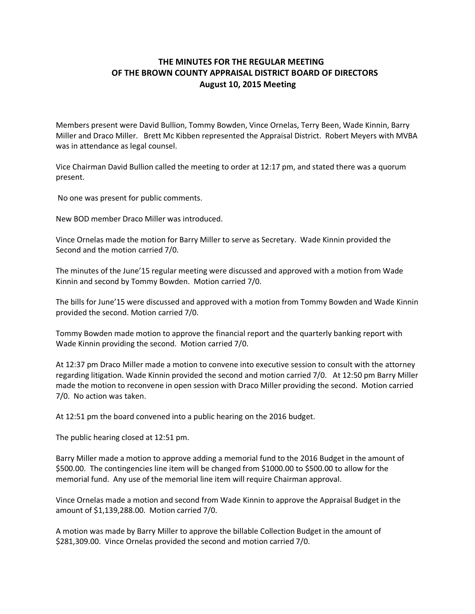## **THE MINUTES FOR THE REGULAR MEETING OF THE BROWN COUNTY APPRAISAL DISTRICT BOARD OF DIRECTORS August 10, 2015 Meeting**

Members present were David Bullion, Tommy Bowden, Vince Ornelas, Terry Been, Wade Kinnin, Barry Miller and Draco Miller. Brett Mc Kibben represented the Appraisal District. Robert Meyers with MVBA was in attendance as legal counsel.

Vice Chairman David Bullion called the meeting to order at 12:17 pm, and stated there was a quorum present.

No one was present for public comments.

New BOD member Draco Miller was introduced.

Vince Ornelas made the motion for Barry Miller to serve as Secretary. Wade Kinnin provided the Second and the motion carried 7/0.

The minutes of the June'15 regular meeting were discussed and approved with a motion from Wade Kinnin and second by Tommy Bowden. Motion carried 7/0.

The bills for June'15 were discussed and approved with a motion from Tommy Bowden and Wade Kinnin provided the second. Motion carried 7/0.

Tommy Bowden made motion to approve the financial report and the quarterly banking report with Wade Kinnin providing the second. Motion carried 7/0.

At 12:37 pm Draco Miller made a motion to convene into executive session to consult with the attorney regarding litigation. Wade Kinnin provided the second and motion carried 7/0. At 12:50 pm Barry Miller made the motion to reconvene in open session with Draco Miller providing the second. Motion carried 7/0. No action was taken.

At 12:51 pm the board convened into a public hearing on the 2016 budget.

The public hearing closed at 12:51 pm.

Barry Miller made a motion to approve adding a memorial fund to the 2016 Budget in the amount of \$500.00. The contingencies line item will be changed from \$1000.00 to \$500.00 to allow for the memorial fund. Any use of the memorial line item will require Chairman approval.

Vince Ornelas made a motion and second from Wade Kinnin to approve the Appraisal Budget in the amount of \$1,139,288.00. Motion carried 7/0.

A motion was made by Barry Miller to approve the billable Collection Budget in the amount of \$281,309.00. Vince Ornelas provided the second and motion carried 7/0.